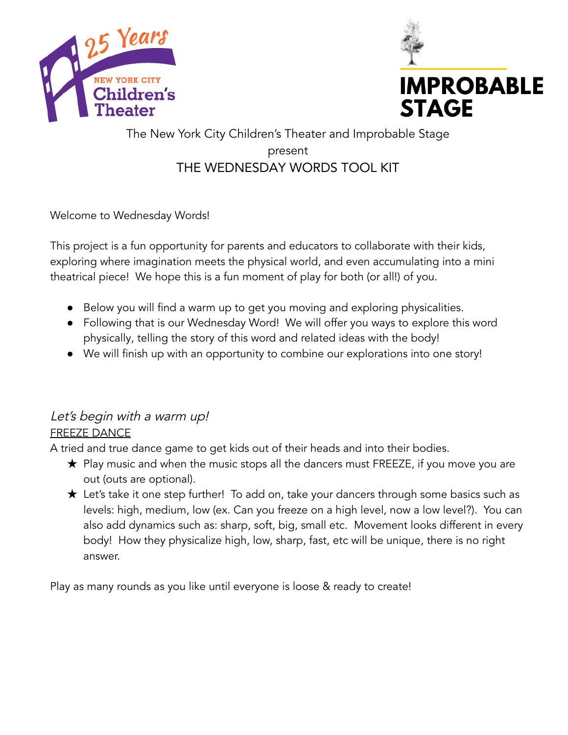



# The New York City Children's Theater and Improbable Stage present THE WEDNESDAY WORDS TOOL KIT

Welcome to Wednesday Words!

This project is a fun opportunity for parents and educators to collaborate with their kids, exploring where imagination meets the physical world, and even accumulating into a mini theatrical piece! We hope this is a fun moment of play for both (or all!) of you.

- Below you will find a warm up to get you moving and exploring physicalities.
- Following that is our Wednesday Word! We will offer you ways to explore this word physically, telling the story of this word and related ideas with the body!
- We will finish up with an opportunity to combine our explorations into one story!

# Let's begin with a warm up! FREEZE DANCE

A tried and true dance game to get kids out of their heads and into their bodies.

- $\bigstar$  Play music and when the music stops all the dancers must FREEZE, if you move you are out (outs are optional).
- ★ Let's take it one step further! To add on, take your dancers through some basics such as levels: high, medium, low (ex. Can you freeze on a high level, now a low level?). You can also add dynamics such as: sharp, soft, big, small etc. Movement looks different in every body! How they physicalize high, low, sharp, fast, etc will be unique, there is no right answer.

Play as many rounds as you like until everyone is loose & ready to create!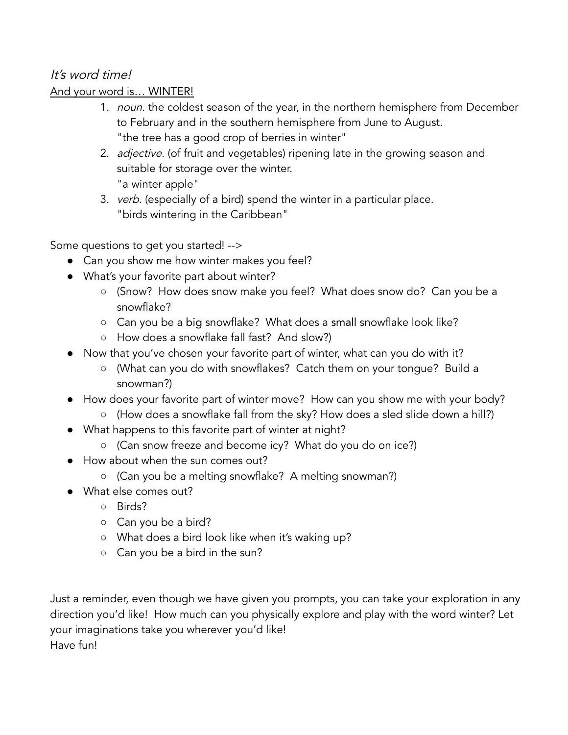## It's word time!

## And your word is… WINTER!

- 1. noun. the coldest season of the year, in the northern hemisphere from December to February and in the southern hemisphere from June to August. "the tree has a good crop of berries in winter"
- 2. *adjective*. (of fruit and vegetables) ripening late in the growing season and suitable for storage over the winter. "a winter apple"
- 3. verb. (especially of a bird) spend the winter in a particular place. "birds wintering in the Caribbean"

Some questions to get you started! -->

- Can you show me how winter makes you feel?
- What's your favorite part about winter?
	- (Snow? How does snow make you feel? What does snow do? Can you be a snowflake?
	- Can you be a big snowflake? What does a small snowflake look like?
	- How does a snowflake fall fast? And slow?)
- Now that you've chosen your favorite part of winter, what can you do with it?
	- (What can you do with snowflakes? Catch them on your tongue? Build a snowman?)
- How does your favorite part of winter move? How can you show me with your body?
	- (How does a snowflake fall from the sky? How does a sled slide down a hill?)
- What happens to this favorite part of winter at night?
	- (Can snow freeze and become icy? What do you do on ice?)
- How about when the sun comes out?
	- (Can you be a melting snowflake? A melting snowman?)
- What else comes out?
	- Birds?
	- Can you be a bird?
	- What does a bird look like when it's waking up?
	- Can you be a bird in the sun?

Just a reminder, even though we have given you prompts, you can take your exploration in any direction you'd like! How much can you physically explore and play with the word winter? Let your imaginations take you wherever you'd like! Have fun!